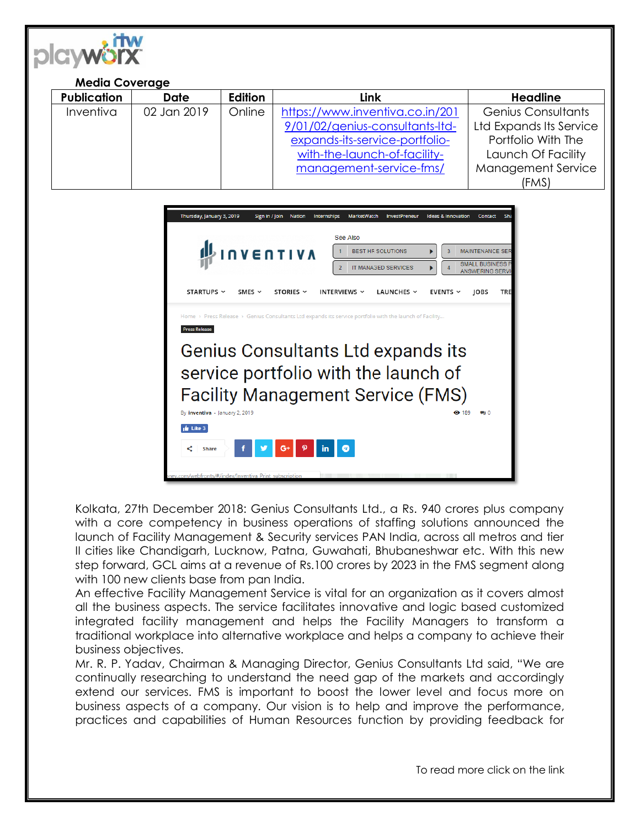

## **Media Coverage**

| <b>Publication</b> | <b>Date</b> | Edition | Link                            | <b>Headline</b>           |
|--------------------|-------------|---------|---------------------------------|---------------------------|
| Inventiva          | 02 Jan 2019 | Online  | https://www.inventiva.co.in/201 | <b>Genius Consultants</b> |
|                    |             |         | 9/01/02/genius-consultants-Itd- | Ltd Expands Its Service   |
|                    |             |         | expands-its-service-portfolio-  | Portfolio With The        |
|                    |             |         | with-the-launch-of-facility-    | Launch Of Facility        |
|                    |             |         | management-service-fms/         | <b>Management Service</b> |
|                    |             |         |                                 | (FMS)                     |



Kolkata, 27th December 2018: Genius Consultants Ltd., a Rs. 940 crores plus company with a core competency in business operations of staffing solutions announced the launch of Facility Management & Security services PAN India, across all metros and tier II cities like Chandigarh, Lucknow, Patna, Guwahati, Bhubaneshwar etc. With this new step forward, GCL aims at a revenue of Rs.100 crores by 2023 in the FMS segment along with 100 new clients base from pan India.

An effective Facility Management Service is vital for an organization as it covers almost all the business aspects. The service facilitates innovative and logic based customized integrated facility management and helps the Facility Managers to transform a traditional workplace into alternative workplace and helps a company to achieve their business objectives.

Mr. R. P. Yadav, Chairman & Managing Director, Genius Consultants Ltd said, "We are continually researching to understand the need gap of the markets and accordingly extend our services. FMS is important to boost the lower level and focus more on business aspects of a company. Our vision is to help and improve the performance, practices and capabilities of Human Resources function by providing feedback for

To read more click on the link